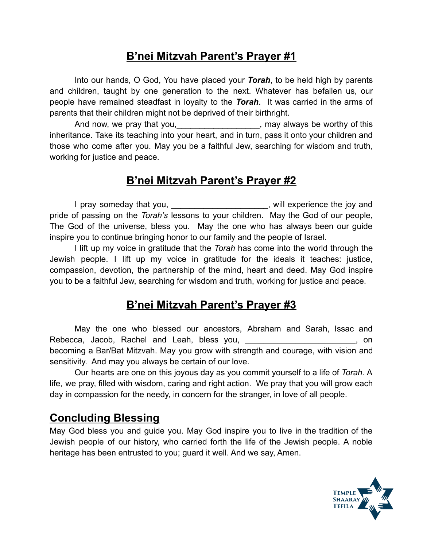#### **B'nei Mitzvah Parent's Prayer #1**

Into our hands, O God, You have placed your *Torah*, to be held high by parents and children, taught by one generation to the next. Whatever has befallen us, our people have remained steadfast in loyalty to the *Torah*. It was carried in the arms of parents that their children might not be deprived of their birthright.

And now, we pray that you, the same state of this and now, we pray that you, inheritance. Take its teaching into your heart, and in turn, pass it onto your children and those who come after you. May you be a faithful Jew, searching for wisdom and truth, working for justice and peace.

# **B'nei Mitzvah Parent's Prayer #2**

I pray someday that you, the same of the system of the intervals of the intervals of the intervals of the inter pride of passing on the *Torah's* lessons to your children. May the God of our people, The God of the universe, bless you. May the one who has always been our guide inspire you to continue bringing honor to our family and the people of Israel.

I lift up my voice in gratitude that the *Torah* has come into the world through the Jewish people. I lift up my voice in gratitude for the ideals it teaches: justice, compassion, devotion, the partnership of the mind, heart and deed. May God inspire you to be a faithful Jew, searching for wisdom and truth, working for justice and peace.

## **B'nei Mitzvah Parent's Prayer #3**

May the one who blessed our ancestors, Abraham and Sarah, Issac and Rebecca, Jacob, Rachel and Leah, bless you, the contract of the contract of the contract of the contract of the contract of the contract of the contract of the contract of the contract of the contract of the contract of th becoming a Bar/Bat Mitzvah. May you grow with strength and courage, with vision and sensitivity. And may you always be certain of our love.

Our hearts are one on this joyous day as you commit yourself to a life of *Torah.* A life, we pray, filled with wisdom, caring and right action. We pray that you will grow each day in compassion for the needy, in concern for the stranger, in love of all people.

#### **Concluding Blessing**

May God bless you and guide you. May God inspire you to live in the tradition of the Jewish people of our history, who carried forth the life of the Jewish people. A noble heritage has been entrusted to you; guard it well. And we say, Amen.